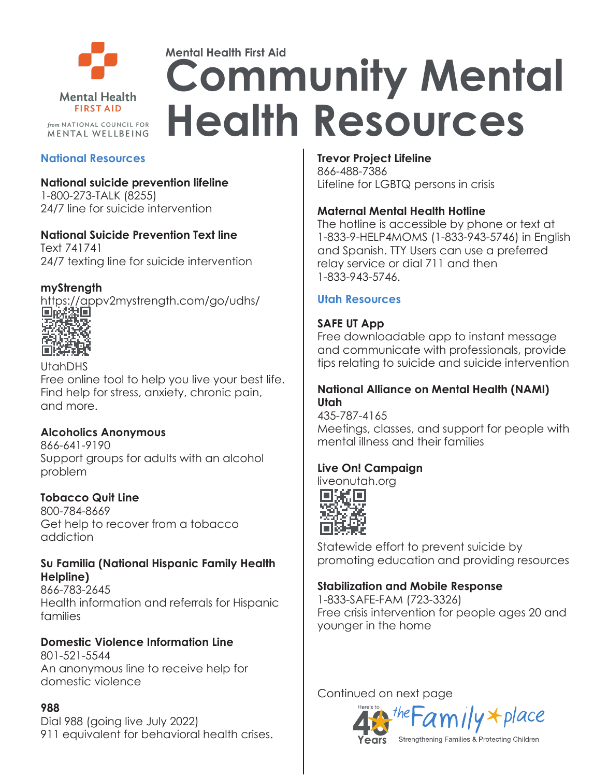

# **Mental Health First Aid Community Mental Health Resources**

#### **National Resources**

**National suicide prevention lifeline** 1-800-273-TALK (8255)

24/7 line for suicide intervention

#### **National Suicide Prevention Text line**

Text 741741 24/7 texting line for suicide intervention

#### **myStrength**

https://appv2mystrength.com/go/udhs/<br>■咳起■



UtahDHS

Free online tool to help you live your best life. Find help for stress, anxiety, chronic pain, and more.

#### **Alcoholics Anonymous**

866-641-9190 Support groups for adults with an alcohol problem

# **Tobacco Quit Line**

800-784-8669 Get help to recover from a tobacco addiction

#### **Su Familia (National Hispanic Family Health Helpline)**

866-783-2645 Health information and referrals for Hispanic families

# **Domestic Violence Information Line**

801-521-5544 An anonymous line to receive help for domestic violence

#### **988**

Dial 988 (going live July 2022) 911 equivalent for behavioral health crises.

#### **Trevor Project Lifeline**

866-488-7386 Lifeline for LGBTQ persons in crisis

#### **Maternal Mental Health Hotline**

The hotline is accessible by phone or text at 1-833-9-HELP4MOMS (1-833-943-5746) in English and Spanish. TTY Users can use a preferred relay service or dial 711 and then 1-833-943-5746.

#### **Utah Resources**

#### **SAFE UT App**

Free downloadable app to instant message and communicate with professionals, provide tips relating to suicide and suicide intervention

#### **National Alliance on Mental Health (NAMI) Utah**

435-787-4165 Meetings, classes, and support for people with mental illness and their families

# **Live On! Campaign**

liveonutah.org



Statewide effort to prevent suicide by promoting education and providing resources

# **Stabilization and Mobile Response**

1-833-SAFE-FAM (723-3326) Free crisis intervention for people ages 20 and younger in the home

Continued on next page

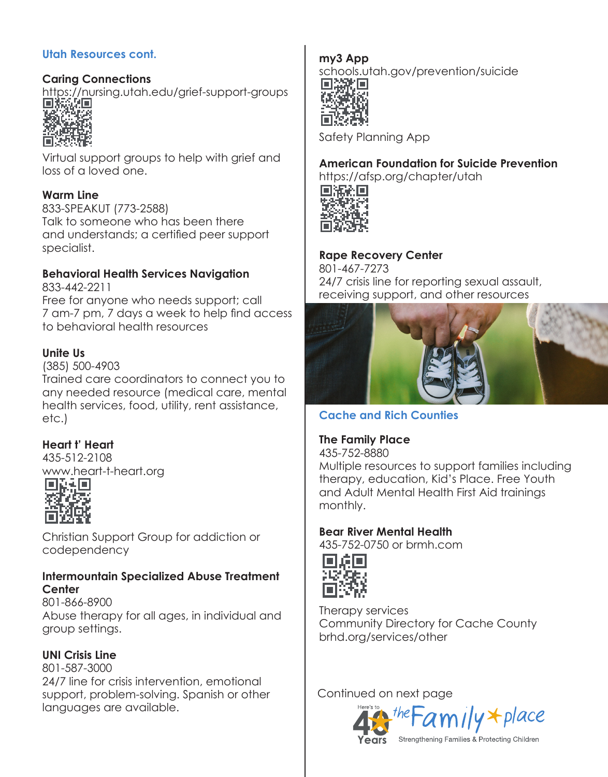#### **Utah Resources cont.**

#### **Caring Connections**

https://nursing.utah.edu/grief-support-groups<br>■####



Virtual support groups to help with grief and loss of a loved one.

#### **Warm Line**

833-SPEAKUT (773-2588) Talk to someone who has been there and understands; a certified peer support specialist.

# **Behavioral Health Services Navigation**

833-442-2211 Free for anyone who needs support; call 7 am-7 pm, 7 days a week to help find access to behavioral health resources

#### **Unite Us**

(385) 500-4903

Trained care coordinators to connect you to any needed resource (medical care, mental health services, food, utility, rent assistance, etc.)

#### **Heart t' Heart**

435-512-2108 www.heart-t-heart.org<br>□最言



Christian Support Group for addiction or codependency

#### **Intermountain Specialized Abuse Treatment Center**

801-866-8900 Abuse therapy for all ages, in individual and group settings.

#### **UNI Crisis Line**

801-587-3000 24/7 line for crisis intervention, emotional support, problem-solving. Spanish or other languages are available.

# **my3 App**

schools.utah.gov/prevention/suicide



Safety Planning App

#### **American Foundation for Suicide Prevention** https://afsp.org/chapter/utah



**Rape Recovery Center**

801-467-7273 24/7 crisis line for reporting sexual assault, receiving support, and other resources



# **Cache and Rich Counties**

#### **The Family Place**

435-752-8880 Multiple resources to support families including therapy, education, Kid's Place. Free Youth and Adult Mental Health First Aid trainings monthly.

#### **Bear River Mental Health**

435-752-0750 or brmh.com



Therapy services Community Directory for Cache County brhd.org/services/other

Continued on next page

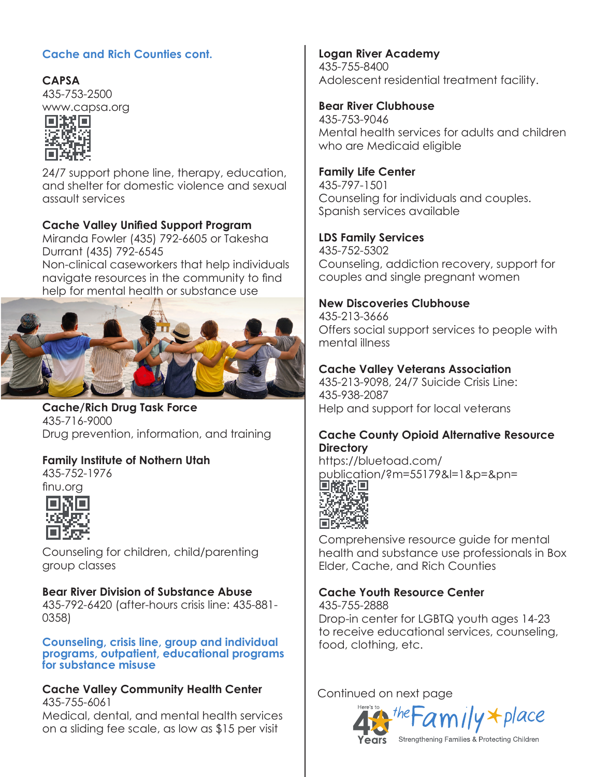# **Cache and Rich Counties cont.**

**CAPSA** 435-753-2500



24/7 support phone line, therapy, education, and shelter for domestic violence and sexual assault services

#### **Cache Valley Unified Support Program**

Miranda Fowler (435) 792-6605 or Takesha Durrant (435) 792-6545

Non-clinical caseworkers that help individuals navigate resources in the community to find help for mental health or substance use



**Cache/Rich Drug Task Force** 435-716-9000 Drug prevention, information, and training

# **Family Institute of Nothern Utah**

435-752-1976 finu.org



Counseling for children, child/parenting group classes

#### **Bear River Division of Substance Abuse** 435-792-6420 (after-hours crisis line: 435-881-

0358)

**Counseling, crisis line, group and individual programs, outpatient, educational programs for substance misuse**

# **Cache Valley Community Health Center** 435-755-6061

Medical, dental, and mental health services on a sliding fee scale, as low as \$15 per visit

**Logan River Academy** 435-755-8400 Adolescent residential treatment facility.

#### **Bear River Clubhouse**

435-753-9046 Mental health services for adults and children who are Medicaid eligible

#### **Family Life Center**

435-797-1501 Counseling for individuals and couples. Spanish services available

# **LDS Family Services**

435-752-5302 Counseling, addiction recovery, support for couples and single pregnant women

#### **New Discoveries Clubhouse**

435-213-3666 Offers social support services to people with mental illness

#### **Cache Valley Veterans Association**

435-213-9098, 24/7 Suicide Crisis Line: 435-938-2087 Help and support for local veterans

#### **Cache County Opioid Alternative Resource Directory**

https://bluetoad.com/ publication/?m=55179&l=1&p=&pn=



Comprehensive resource guide for mental health and substance use professionals in Box Elder, Cache, and Rich Counties

# **Cache Youth Resource Center**

435-755-2888 Drop-in center for LGBTQ youth ages 14-23 to receive educational services, counseling, food, clothing, etc.

Continued on next page